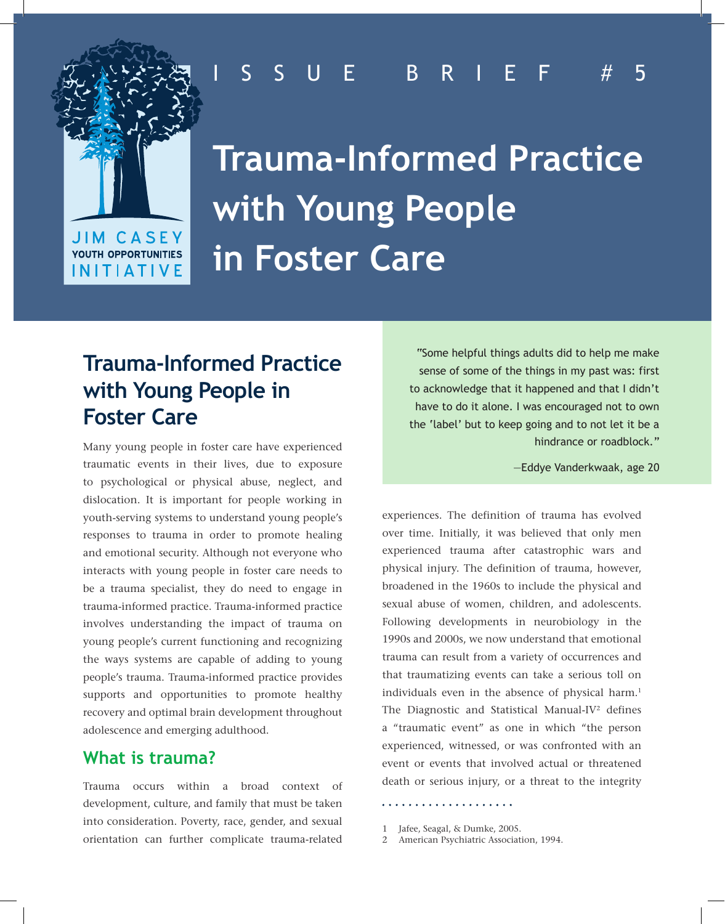# **JIM CASEY** YOUTH OPPORTUNITIES **INITIATIVE**

# ISSUE BRIEF #5

**Trauma-Informed Practice with Young People in Foster Care**

# **Trauma-Informed Practice with Young People in Foster Care**

Many young people in foster care have experienced traumatic events in their lives, due to exposure to psychological or physical abuse, neglect, and dislocation. It is important for people working in youth-serving systems to understand young people's responses to trauma in order to promote healing and emotional security. Although not everyone who interacts with young people in foster care needs to be a trauma specialist, they do need to engage in trauma-informed practice. Trauma-informed practice involves understanding the impact of trauma on young people's current functioning and recognizing the ways systems are capable of adding to young people's trauma. Trauma-informed practice provides supports and opportunities to promote healthy recovery and optimal brain development throughout adolescence and emerging adulthood.

## **What is trauma?**

Trauma occurs within a broad context of development, culture, and family that must be taken into consideration. Poverty, race, gender, and sexual orientation can further complicate trauma-related

"Some helpful things adults did to help me make sense of some of the things in my past was: first to acknowledge that it happened and that I didn't have to do it alone. I was encouraged not to own the 'label' but to keep going and to not let it be a hindrance or roadblock."

—Eddye Vanderkwaak, age 20

experiences. The definition of trauma has evolved over time. Initially, it was believed that only men experienced trauma after catastrophic wars and physical injury. The definition of trauma, however, broadened in the 1960s to include the physical and sexual abuse of women, children, and adolescents. Following developments in neurobiology in the 1990s and 2000s, we now understand that emotional trauma can result from a variety of occurrences and that traumatizing events can take a serious toll on individuals even in the absence of physical harm.<sup>1</sup> The Diagnostic and Statistical Manual-IV<sup>2</sup> defines a "traumatic event" as one in which "the person experienced, witnessed, or was confronted with an event or events that involved actual or threatened death or serious injury, or a threat to the integrity

. . . . . . . . . . . . . . . . . . . .

- 1 Jafee, Seagal, & Dumke, 2005.
- 2 American Psychiatric Association, 1994.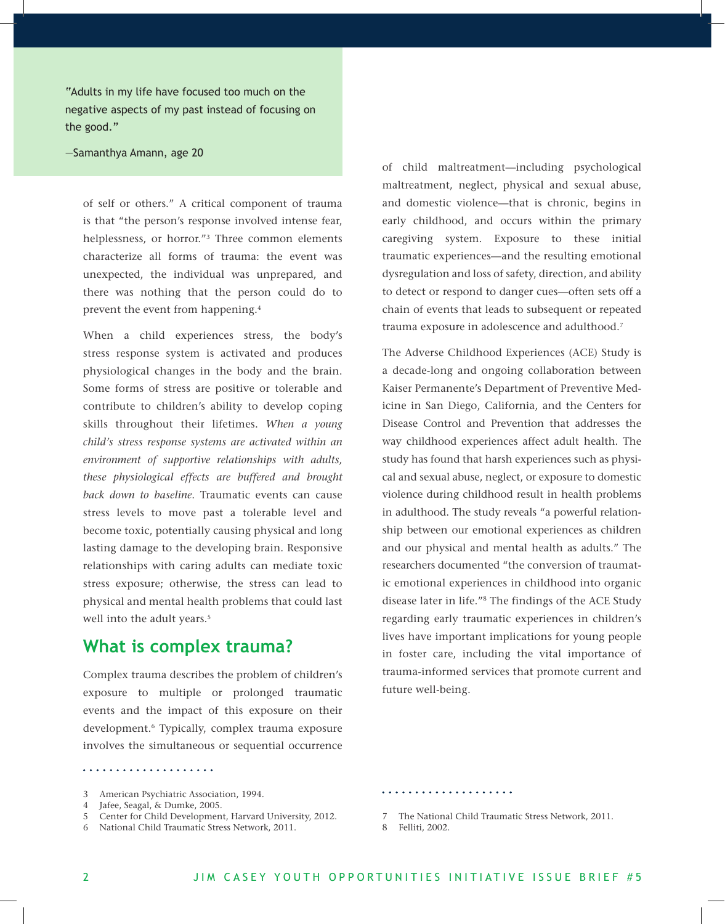"Adults in my life have focused too much on the negative aspects of my past instead of focusing on the good."

#### —Samanthya Amann, age 20

of self or others." A critical component of trauma is that "the person's response involved intense fear, helplessness, or horror."3 Three common elements characterize all forms of trauma: the event was unexpected, the individual was unprepared, and there was nothing that the person could do to prevent the event from happening.4

When a child experiences stress, the body's stress response system is activated and produces physiological changes in the body and the brain. Some forms of stress are positive or tolerable and contribute to children's ability to develop coping skills throughout their lifetimes. *When a young child's stress response systems are activated within an environment of supportive relationships with adults, these physiological effects are buffered and brought back down to baseline*. Traumatic events can cause stress levels to move past a tolerable level and become toxic, potentially causing physical and long lasting damage to the developing brain. Responsive relationships with caring adults can mediate toxic stress exposure; otherwise, the stress can lead to physical and mental health problems that could last well into the adult years.<sup>5</sup>

### **What is complex trauma?**

Complex trauma describes the problem of children's exposure to multiple or prolonged traumatic events and the impact of this exposure on their development.6 Typically, complex trauma exposure involves the simultaneous or sequential occurrence

of child maltreatment—including psychological maltreatment, neglect, physical and sexual abuse, and domestic violence—that is chronic, begins in early childhood, and occurs within the primary caregiving system. Exposure to these initial traumatic experiences—and the resulting emotional dysregulation and loss of safety, direction, and ability to detect or respond to danger cues—often sets off a chain of events that leads to subsequent or repeated trauma exposure in adolescence and adulthood.<sup>7</sup>

The Adverse Childhood Experiences (ACE) Study is a decade-long and ongoing collaboration between Kaiser Permanente's Department of Preventive Medicine in San Diego, California, and the Centers for Disease Control and Prevention that addresses the way childhood experiences affect adult health. The study has found that harsh experiences such as physical and sexual abuse, neglect, or exposure to domestic violence during childhood result in health problems in adulthood. The study reveals "a powerful relationship between our emotional experiences as children and our physical and mental health as adults." The researchers documented "the conversion of traumatic emotional experiences in childhood into organic disease later in life."8 The findings of the ACE Study regarding early traumatic experiences in children's lives have important implications for young people in foster care, including the vital importance of trauma-informed services that promote current and future well-being.

. . . . . . . . . . . . . . . . . . . .

- 5 Center for Child Development, Harvard University, 2012.
- 6 National Child Traumatic Stress Network, 2011.

<sup>3</sup> American Psychiatric Association, 1994.

<sup>4</sup> Jafee, Seagal, & Dumke, 2005.

<sup>7</sup> The National Child Traumatic Stress Network, 2011.

<sup>8</sup> Felliti, 2002.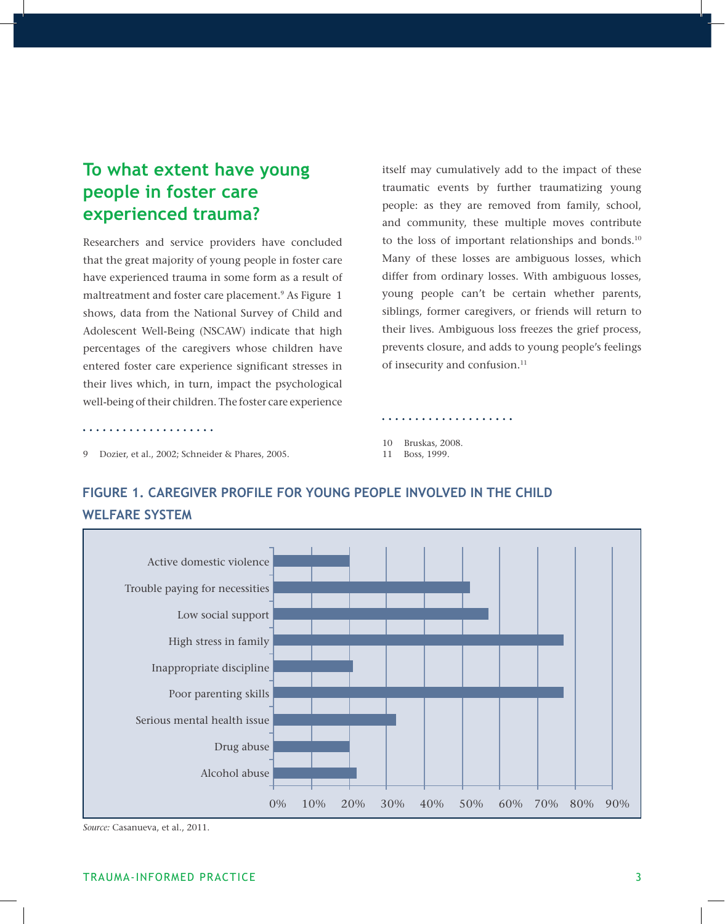# **To what extent have young people in foster care experienced trauma?**

Researchers and service providers have concluded that the great majority of young people in foster care have experienced trauma in some form as a result of maltreatment and foster care placement.<sup>9</sup> As Figure 1 shows, data from the National Survey of Child and Adolescent Well-Being (NSCAW) indicate that high percentages of the caregivers whose children have entered foster care experience significant stresses in their lives which, in turn, impact the psychological well-being of their children. The foster care experience

itself may cumulatively add to the impact of these traumatic events by further traumatizing young people: as they are removed from family, school, and community, these multiple moves contribute to the loss of important relationships and bonds.<sup>10</sup> Many of these losses are ambiguous losses, which differ from ordinary losses. With ambiguous losses, young people can't be certain whether parents, siblings, former caregivers, or friends will return to their lives. Ambiguous loss freezes the grief process, prevents closure, and adds to young people's feelings of insecurity and confusion.<sup>11</sup>

. . . . . . . . . . . . . . . . . . .

9 Dozier, et al., 2002; Schneider & Phares, 2005.

. . . . . . . . . . . . . . . .

10 Bruskas, 2008.

11 Boss, 1999.



## **Figure 1. Caregiver Profile for Young People Involved in the Child Welfare System**

*Source:* Casanueva, et al., 2011.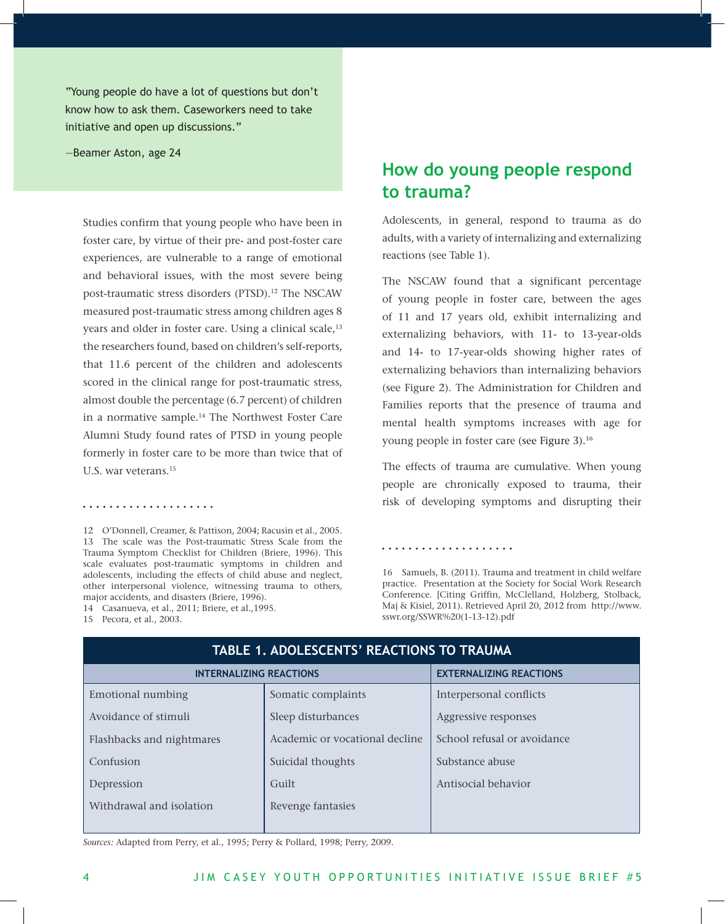"Young people do have a lot of questions but don't know how to ask them. Caseworkers need to take initiative and open up discussions."

—Beamer Aston, age 24

Studies confirm that young people who have been in foster care, by virtue of their pre- and post-foster care experiences, are vulnerable to a range of emotional and behavioral issues, with the most severe being post-traumatic stress disorders (PTSD).<sup>12</sup> The NSCAW measured post-traumatic stress among children ages 8 years and older in foster care. Using a clinical scale,<sup>13</sup> the researchers found, based on children's self-reports, that 11.6 percent of the children and adolescents scored in the clinical range for post-traumatic stress, almost double the percentage (6.7 percent) of children in a normative sample.14 The Northwest Foster Care Alumni Study found rates of PTSD in young people formerly in foster care to be more than twice that of U.S. war veterans.15

#### . . . . . . . . . . . . . . . . . . . .

12 O'Donnell, Creamer, & Pattison, 2004; Racusin et al., 2005. 13 The scale was the Post-traumatic Stress Scale from the Trauma Symptom Checklist for Children (Briere, 1996). This scale evaluates post-traumatic symptoms in children and adolescents, including the effects of child abuse and neglect, other interpersonal violence, witnessing trauma to others, major accidents, and disasters (Briere, 1996).

14 Casanueva, et al., 2011; Briere, et al.,1995.

#### 15 Pecora, et al., 2003.

# **How do young people respond to trauma?**

Adolescents, in general, respond to trauma as do adults, with a variety of internalizing and externalizing reactions (see Table 1).

The NSCAW found that a significant percentage of young people in foster care, between the ages of 11 and 17 years old, exhibit internalizing and externalizing behaviors, with 11- to 13-year-olds and 14- to 17-year-olds showing higher rates of externalizing behaviors than internalizing behaviors (see Figure 2). The Administration for Children and Families reports that the presence of trauma and mental health symptoms increases with age for young people in foster care (see Figure 3).16

The effects of trauma are cumulative. When young people are chronically exposed to trauma, their risk of developing symptoms and disrupting their

#### . . . . . . . . . . . . . . . . . . . .

16 Samuels, B. (2011). Trauma and treatment in child welfare practice. Presentation at the Society for Social Work Research Conference. [Citing Griffin, McClelland, Holzberg, Stolback, Maj & Kisiel, 2011). Retrieved April 20, 2012 from http://www. sswr.org/SSWR%20(1-13-12).pdf

| <b>TABLE 1. ADOLESCENTS' REACTIONS TO TRAUMA</b> |                                |                                |  |
|--------------------------------------------------|--------------------------------|--------------------------------|--|
| <b>INTERNALIZING REACTIONS</b>                   |                                | <b>EXTERNALIZING REACTIONS</b> |  |
| Emotional numbing                                | Somatic complaints             | Interpersonal conflicts        |  |
| Avoidance of stimuli                             | Sleep disturbances             | Aggressive responses           |  |
| Flashbacks and nightmares                        | Academic or vocational decline | School refusal or avoidance    |  |
| Confusion                                        | Suicidal thoughts              | Substance abuse                |  |
| Depression                                       | Guilt                          | Antisocial behavior            |  |
| Withdrawal and isolation                         | Revenge fantasies              |                                |  |
|                                                  |                                |                                |  |

*Sources:* Adapted from Perry, et al., 1995; Perry & Pollard, 1998; Perry, 2009.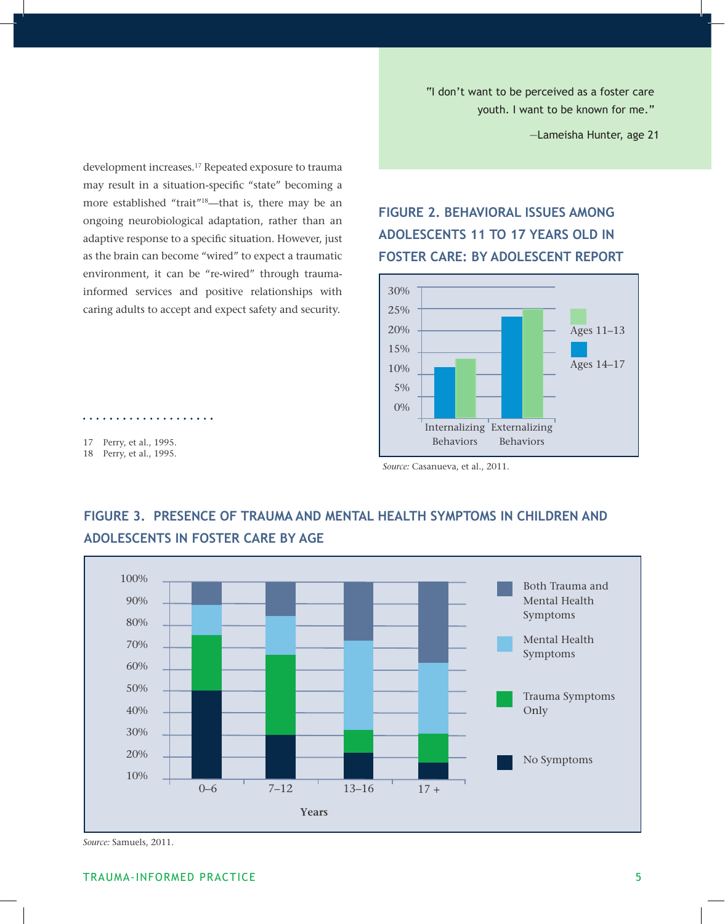"I don't want to be perceived as a foster care youth. I want to be known for me."

—Lameisha Hunter, age 21

development increases.17 Repeated exposure to trauma may result in a situation-specific "state" becoming a more established "trait"18—that is, there may be an ongoing neurobiological adaptation, rather than an adaptive response to a specific situation. However, just as the brain can become "wired" to expect a traumatic environment, it can be "re-wired" through traumainformed services and positive relationships with caring adults to accept and expect safety and security.

## **Figure 2. Behavioral Issues Among Adolescents 11 to 17 Years Old in Foster Care: By Adolescent Report**



. . . . . . . . . . . . . . . . . .



## **Figure 3. Presence of Trauma and Mental Health Symptoms in Children and Adolescents in Foster Care by Age**

<sup>17</sup> Perry, et al., 1995. 18 Perry, et al., 1995.

*Source:* Casanueva, et al., 2011.

*Source:* Samuels, 2011.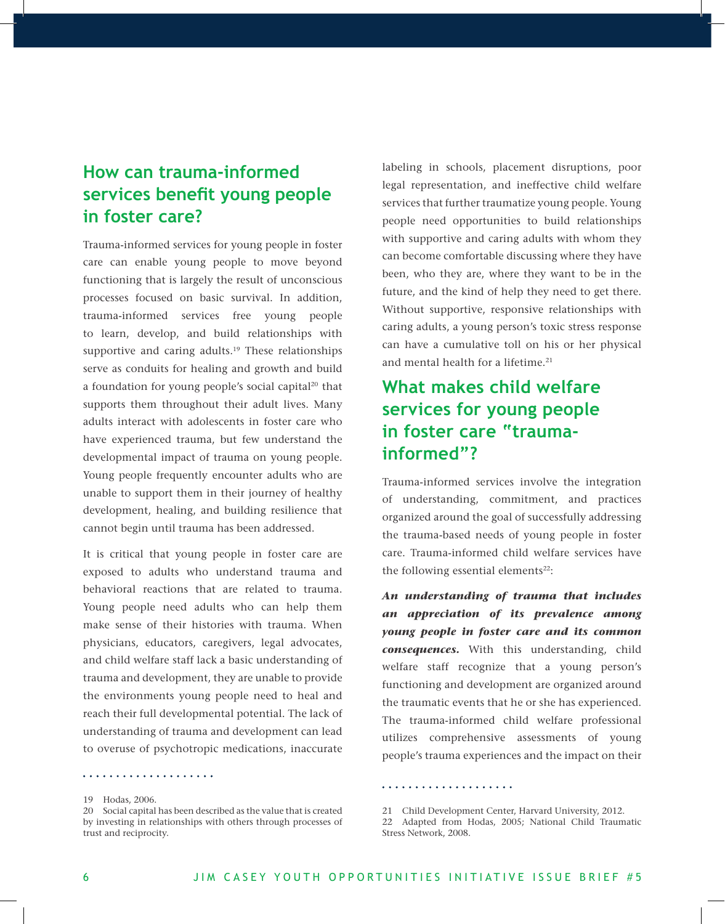# **How can trauma-informed services benefit young people in foster care?**

Trauma-informed services for young people in foster care can enable young people to move beyond functioning that is largely the result of unconscious processes focused on basic survival. In addition, trauma-informed services free young people to learn, develop, and build relationships with supportive and caring adults.<sup>19</sup> These relationships serve as conduits for healing and growth and build a foundation for young people's social capital<sup>20</sup> that supports them throughout their adult lives. Many adults interact with adolescents in foster care who have experienced trauma, but few understand the developmental impact of trauma on young people. Young people frequently encounter adults who are unable to support them in their journey of healthy development, healing, and building resilience that cannot begin until trauma has been addressed.

It is critical that young people in foster care are exposed to adults who understand trauma and behavioral reactions that are related to trauma. Young people need adults who can help them make sense of their histories with trauma. When physicians, educators, caregivers, legal advocates, and child welfare staff lack a basic understanding of trauma and development, they are unable to provide the environments young people need to heal and reach their full developmental potential. The lack of understanding of trauma and development can lead to overuse of psychotropic medications, inaccurate

. . . . . . . . . . . . . . . . . . . .

labeling in schools, placement disruptions, poor legal representation, and ineffective child welfare services that further traumatize young people. Young people need opportunities to build relationships with supportive and caring adults with whom they can become comfortable discussing where they have been, who they are, where they want to be in the future, and the kind of help they need to get there. Without supportive, responsive relationships with caring adults, a young person's toxic stress response can have a cumulative toll on his or her physical and mental health for a lifetime.<sup>21</sup>

# **What makes child welfare services for young people in foster care "traumainformed"?**

Trauma-informed services involve the integration of understanding, commitment, and practices organized around the goal of successfully addressing the trauma-based needs of young people in foster care. Trauma-informed child welfare services have the following essential elements<sup>22</sup>:

*An understanding of trauma that includes an appreciation of its prevalence among young people in foster care and its common consequences.* With this understanding, child welfare staff recognize that a young person's functioning and development are organized around the traumatic events that he or she has experienced. The trauma-informed child welfare professional utilizes comprehensive assessments of young people's trauma experiences and the impact on their

. . . . . . . . . . . . . . . . . . . .

<sup>19</sup> Hodas, 2006.

<sup>20</sup> Social capital has been described as the value that is created by investing in relationships with others through processes of trust and reciprocity.

<sup>21</sup> Child Development Center, Harvard University, 2012.

<sup>22</sup> Adapted from Hodas, 2005; National Child Traumatic Stress Network, 2008.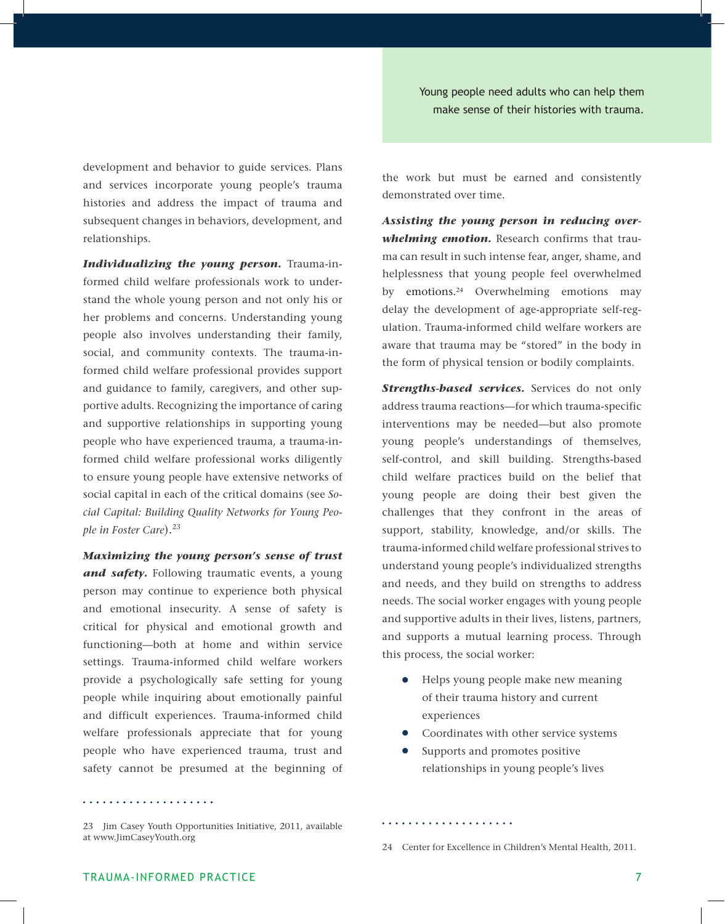Young people need adults who can help them make sense of their histories with trauma.

development and behavior to guide services. Plans and services incorporate young people's trauma histories and address the impact of trauma and subsequent changes in behaviors, development, and relationships.

*Individualizing the young person.* Trauma-informed child welfare professionals work to understand the whole young person and not only his or her problems and concerns. Understanding young people also involves understanding their family, social, and community contexts. The trauma-informed child welfare professional provides support and guidance to family, caregivers, and other supportive adults. Recognizing the importance of caring and supportive relationships in supporting young people who have experienced trauma, a trauma-informed child welfare professional works diligently to ensure young people have extensive networks of social capital in each of the critical domains (see *Social Capital: Building Quality Networks for Young People in Foster Care*).<sup>23</sup>

*Maximizing the young person's sense of trust and safety.* Following traumatic events, a young person may continue to experience both physical and emotional insecurity. A sense of safety is critical for physical and emotional growth and functioning—both at home and within service settings. Trauma-informed child welfare workers provide a psychologically safe setting for young people while inquiring about emotionally painful and difficult experiences. Trauma-informed child welfare professionals appreciate that for young people who have experienced trauma, trust and safety cannot be presumed at the beginning of

the work but must be earned and consistently demonstrated over time.

*Assisting the young person in reducing overwhelming emotion.* Research confirms that trauma can result in such intense fear, anger, shame, and helplessness that young people feel overwhelmed by emotions.<sup>24</sup> Overwhelming emotions may delay the development of age-appropriate self-regulation. Trauma-informed child welfare workers are aware that trauma may be "stored" in the body in the form of physical tension or bodily complaints.

*Strengths-based services.* Services do not only address trauma reactions—for which trauma-specific interventions may be needed—but also promote young people's understandings of themselves, self-control, and skill building. Strengths-based child welfare practices build on the belief that young people are doing their best given the challenges that they confront in the areas of support, stability, knowledge, and/or skills. The trauma-informed child welfare professional strives to understand young people's individualized strengths and needs, and they build on strengths to address needs. The social worker engages with young people and supportive adults in their lives, listens, partners, and supports a mutual learning process. Through this process, the social worker:

- **•** Helps young people make new meaning of their trauma history and current experiences
- Coordinates with other service systems
- Supports and promotes positive relationships in young people's lives

. . . . . . . . . . . . . . . . . . . .

<sup>23</sup> Jim Casey Youth Opportunities Initiative, 2011, available at www.JimCaseyYouth.org

<sup>24</sup> Center for Excellence in Children's Mental Health, 2011.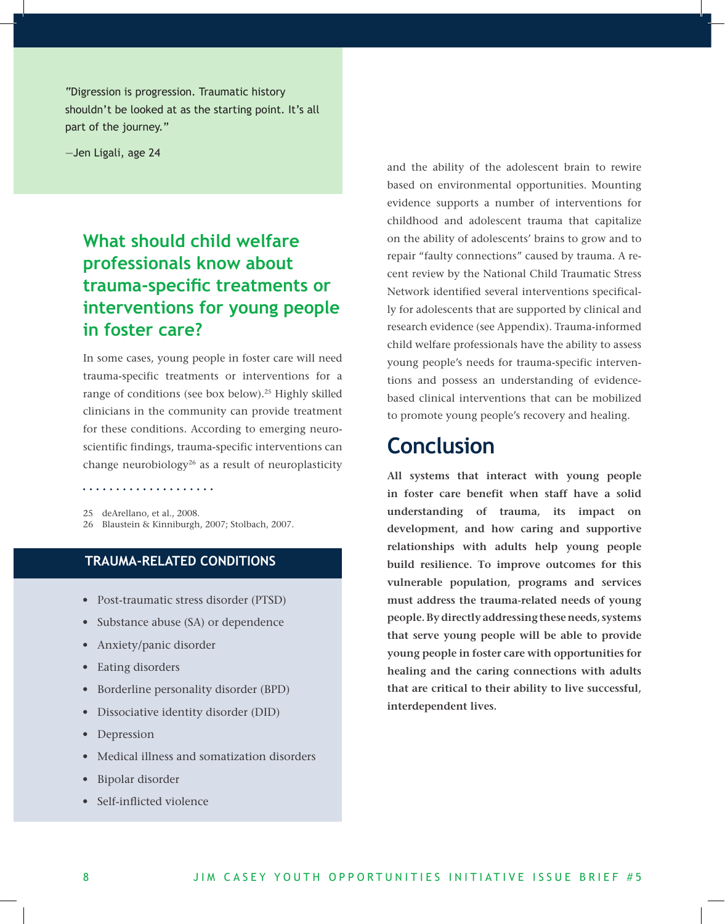"Digression is progression. Traumatic history shouldn't be looked at as the starting point. It's all part of the journey."

—Jen Ligali, age 24

# **What should child welfare professionals know about trauma-specific treatments or interventions for young people in foster care?**

In some cases, young people in foster care will need trauma-specific treatments or interventions for a range of conditions (see box below).<sup>25</sup> Highly skilled clinicians in the community can provide treatment for these conditions. According to emerging neuroscientific findings, trauma-specific interventions can change neurobiology<sup>26</sup> as a result of neuroplasticity

. . . . . . . . . . . . . . . . . . . .

25 deArellano, et al., 2008. 26 Blaustein & Kinniburgh, 2007; Stolbach, 2007.

#### **trauma-related conditions**

- Post-traumatic stress disorder (PTSD)
- Substance abuse (SA) or dependence
- Anxiety/panic disorder
- • Eating disorders
- • Borderline personality disorder (BPD)
- • Dissociative identity disorder (DID)
- Depression
- Medical illness and somatization disorders
- • Bipolar disorder
- Self-inflicted violence

and the ability of the adolescent brain to rewire based on environmental opportunities. Mounting evidence supports a number of interventions for childhood and adolescent trauma that capitalize on the ability of adolescents' brains to grow and to repair "faulty connections" caused by trauma. A recent review by the National Child Traumatic Stress Network identified several interventions specifically for adolescents that are supported by clinical and research evidence (see Appendix). Trauma-informed child welfare professionals have the ability to assess young people's needs for trauma-specific interventions and possess an understanding of evidencebased clinical interventions that can be mobilized to promote young people's recovery and healing.

# **Conclusion**

**All systems that interact with young people in foster care benefit when staff have a solid understanding of trauma, its impact on development, and how caring and supportive relationships with adults help young people build resilience. To improve outcomes for this vulnerable population, programs and services must address the trauma-related needs of young people. By directly addressing these needs, systems that serve young people will be able to provide young people in foster care with opportunities for healing and the caring connections with adults that are critical to their ability to live successful, interdependent lives.**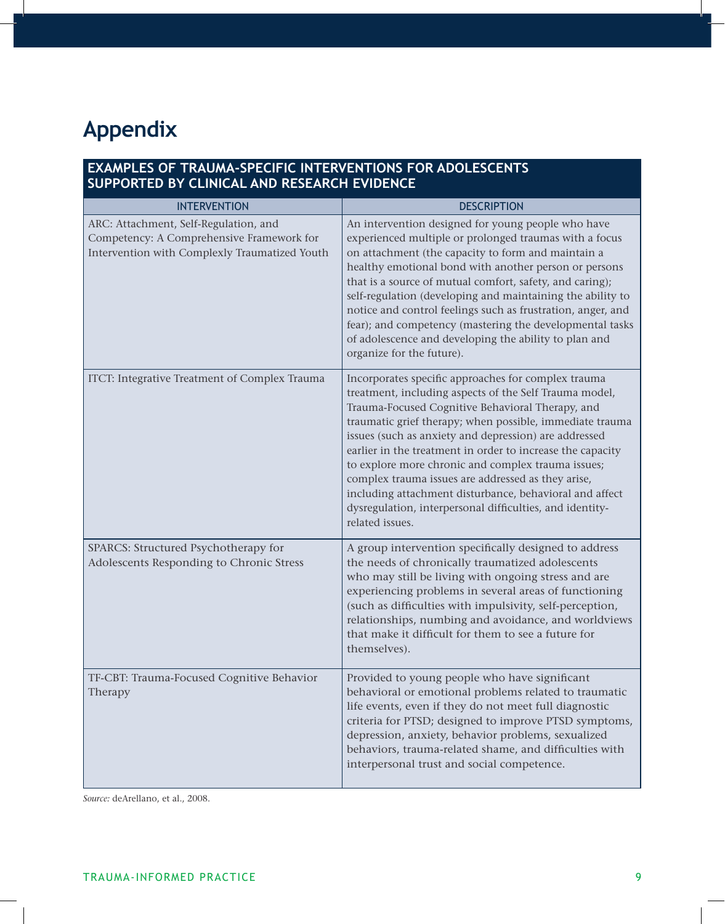# **Appendix**

#### **Examples of Trauma-Specific Interventions for Adolescents Supported by Clinical and Research Evidence**

| <b>INTERVENTION</b>                                                                                                                 | <b>DESCRIPTION</b>                                                                                                                                                                                                                                                                                                                                                                                                                                                                                                                                                                                         |
|-------------------------------------------------------------------------------------------------------------------------------------|------------------------------------------------------------------------------------------------------------------------------------------------------------------------------------------------------------------------------------------------------------------------------------------------------------------------------------------------------------------------------------------------------------------------------------------------------------------------------------------------------------------------------------------------------------------------------------------------------------|
| ARC: Attachment, Self-Regulation, and<br>Competency: A Comprehensive Framework for<br>Intervention with Complexly Traumatized Youth | An intervention designed for young people who have<br>experienced multiple or prolonged traumas with a focus<br>on attachment (the capacity to form and maintain a<br>healthy emotional bond with another person or persons<br>that is a source of mutual comfort, safety, and caring);<br>self-regulation (developing and maintaining the ability to<br>notice and control feelings such as frustration, anger, and<br>fear); and competency (mastering the developmental tasks<br>of adolescence and developing the ability to plan and<br>organize for the future).                                     |
| ITCT: Integrative Treatment of Complex Trauma                                                                                       | Incorporates specific approaches for complex trauma<br>treatment, including aspects of the Self Trauma model,<br>Trauma-Focused Cognitive Behavioral Therapy, and<br>traumatic grief therapy; when possible, immediate trauma<br>issues (such as anxiety and depression) are addressed<br>earlier in the treatment in order to increase the capacity<br>to explore more chronic and complex trauma issues;<br>complex trauma issues are addressed as they arise,<br>including attachment disturbance, behavioral and affect<br>dysregulation, interpersonal difficulties, and identity-<br>related issues. |
| SPARCS: Structured Psychotherapy for<br>Adolescents Responding to Chronic Stress                                                    | A group intervention specifically designed to address<br>the needs of chronically traumatized adolescents<br>who may still be living with ongoing stress and are<br>experiencing problems in several areas of functioning<br>(such as difficulties with impulsivity, self-perception,<br>relationships, numbing and avoidance, and worldviews<br>that make it difficult for them to see a future for<br>themselves).                                                                                                                                                                                       |
| TF-CBT: Trauma-Focused Cognitive Behavior<br>Therapy                                                                                | Provided to young people who have significant<br>behavioral or emotional problems related to traumatic<br>life events, even if they do not meet full diagnostic<br>criteria for PTSD; designed to improve PTSD symptoms,<br>depression, anxiety, behavior problems, sexualized<br>behaviors, trauma-related shame, and difficulties with<br>interpersonal trust and social competence.                                                                                                                                                                                                                     |

*Source:* deArellano, et al., 2008.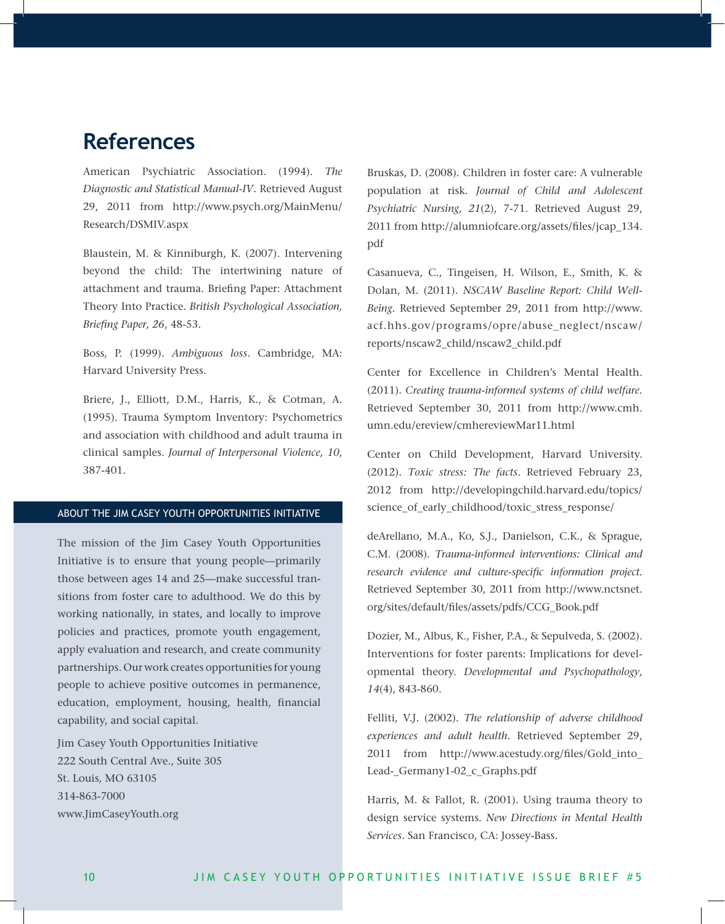# **References**

American Psychiatric Association. (1994). *The Diagnostic and Statistical Manual-IV.* Retrieved August 29, 2011 from http://www.psych.org/MainMenu/ Research/DSMIV.aspx

Blaustein, M. & Kinniburgh, K. (2007). Intervening beyond the child: The intertwining nature of attachment and trauma. Briefing Paper: Attachment Theory Into Practice. *British Psychological Association, Briefing Paper, 26*, 48-53.

Boss, P. (1999). *Ambiguous loss*. Cambridge, MA: Harvard University Press.

Briere, J., Elliott, D.M., Harris, K., & Cotman, A. (1995). Trauma Symptom Inventory: Psychometrics and association with childhood and adult trauma in clinical samples. *Journal of Interpersonal Violence, 10*, 387-401.

#### ABOUT The JIM CASEY YOUTH OPPORTUNITIES INITIATIVE

The mission of the Jim Casey Youth Opportunities Initiative is to ensure that young people—primarily those between ages 14 and 25—make successful transitions from foster care to adulthood. We do this by working nationally, in states, and locally to improve policies and practices, promote youth engagement, apply evaluation and research, and create community partnerships. Our work creates opportunities for young people to achieve positive outcomes in permanence, education, employment, housing, health, financial capability, and social capital.

Jim Casey Youth Opportunities Initiative 222 South Central Ave., Suite 305 St. Louis, MO 63105 314-863-7000 www.JimCaseyYouth.org

Bruskas, D. (2008). Children in foster care: A vulnerable population at risk. *Journal of Child and Adolescent Psychiatric Nursing, 21*(2), 7-71. Retrieved August 29, 2011 from http://alumniofcare.org/assets/files/jcap\_134. pdf

Casanueva, C., Tingeisen, H. Wilson, E., Smith, K. & Dolan, M. (2011). *NSCAW Baseline Report: Child Well-Being.* Retrieved September 29, 2011 from http://www. acf.hhs.gov/programs/opre/abuse\_neglect/nscaw/ reports/nscaw2\_child/nscaw2\_child.pdf

Center for Excellence in Children's Mental Health. (2011). *Creating trauma-informed systems of child welfare.* Retrieved September 30, 2011 from http://www.cmh. umn.edu/ereview/cmhereviewMar11.html

Center on Child Development, Harvard University. (2012). *Toxic stress: The facts*. Retrieved February 23, 2012 from http://developingchild.harvard.edu/topics/ science\_of\_early\_childhood/toxic\_stress\_response/

deArellano, M.A., Ko, S.J., Danielson, C.K., & Sprague, C.M. (2008). *Trauma-informed interventions: Clinical and research evidence and culture-specific information project.* Retrieved September 30, 2011 from http://www.nctsnet. org/sites/default/files/assets/pdfs/CCG\_Book.pdf

Dozier, M., Albus, K., Fisher, P.A., & Sepulveda, S. (2002). Interventions for foster parents: Implications for developmental theory. *Developmental and Psychopathology, 14*(4), 843-860.

Felliti, V.J. (2002). *The relationship of adverse childhood experiences and adult health.* Retrieved September 29, 2011 from http://www.acestudy.org/files/Gold\_into\_ Lead-\_Germany1-02\_c\_Graphs.pdf

Harris, M. & Fallot, R. (2001). Using trauma theory to design service systems. *New Directions in Mental Health Services*. San Francisco, CA: Jossey-Bass.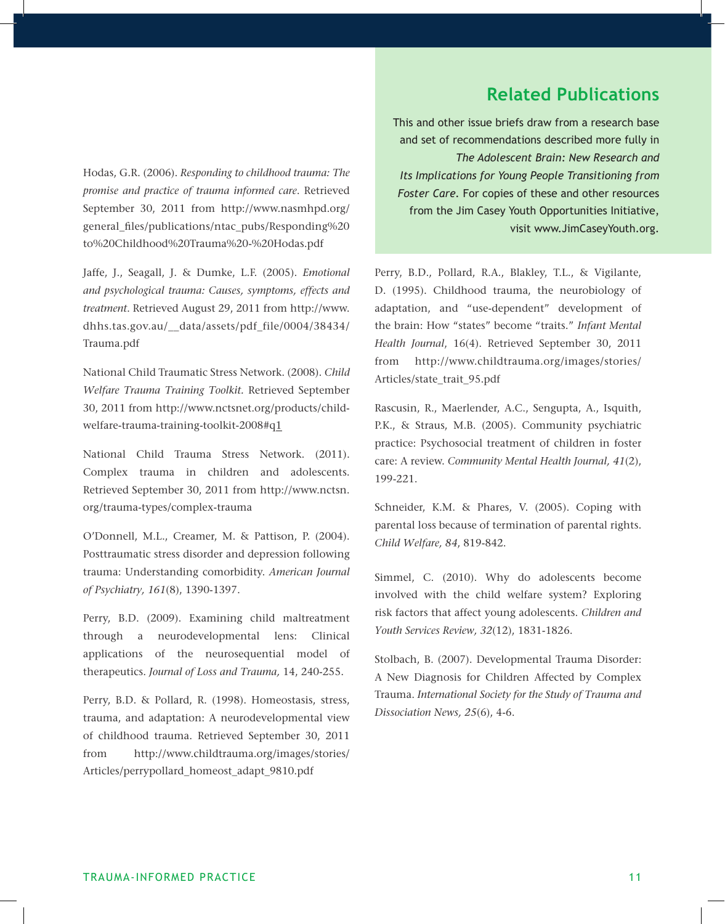## **Related Publications**

Hodas, G.R. (2006). *Responding to childhood trauma: The promise and practice of trauma informed care*. Retrieved September 30, 2011 from http://www.nasmhpd.org/ general\_files/publications/ntac\_pubs/Responding%20 to%20Childhood%20Trauma%20-%20Hodas.pdf

Jaffe, J., Seagall, J. & Dumke, L.F. (2005). *Emotional and psychological trauma: Causes, symptoms, effects and treatment*. Retrieved August 29, 2011 from http://www. dhhs.tas.gov.au/\_\_data/assets/pdf\_file/0004/38434/ Trauma.pdf

National Child Traumatic Stress Network. (2008). *Child Welfare Trauma Training Toolkit.* Retrieved September 30, 2011 from http://www.nctsnet.org/products/childwelfare-trauma-training-toolkit-2008#q1

National Child Trauma Stress Network. (2011). Complex trauma in children and adolescents. Retrieved September 30, 2011 from http://www.nctsn. org/trauma-types/complex-trauma

O'Donnell, M.L., Creamer, M. & Pattison, P. (2004). Posttraumatic stress disorder and depression following trauma: Understanding comorbidity. *American Journal of Psychiatry, 161*(8), 1390-1397.

Perry, B.D. (2009). Examining child maltreatment through a neurodevelopmental lens: Clinical applications of the neurosequential model of therapeutics. *Journal of Loss and Trauma,* 14, 240-255.

Perry, B.D. & Pollard, R. (1998). Homeostasis, stress, trauma, and adaptation: A neurodevelopmental view of childhood trauma. Retrieved September 30, 2011 from http://www.childtrauma.org/images/stories/ Articles/perrypollard\_homeost\_adapt\_9810.pdf

This and other issue briefs draw from a research base and set of recommendations described more fully in *The Adolescent Brain: New Research and Its Implications for Young People Transitioning from Foster Care.* For copies of these and other resources from the Jim Casey Youth Opportunities Initiative, visit www.JimCaseyYouth.org.

Perry, B.D., Pollard, R.A., Blakley, T.L., & Vigilante, D. (1995). Childhood trauma, the neurobiology of adaptation, and "use-dependent" development of the brain: How "states" become "traits." *Infant Mental Health Journal*, 16(4). Retrieved September 30, 2011 from http://www.childtrauma.org/images/stories/ Articles/state\_trait\_95.pdf

Rascusin, R., Maerlender, A.C., Sengupta, A., Isquith, P.K., & Straus, M.B. (2005). Community psychiatric practice: Psychosocial treatment of children in foster care: A review. *Community Mental Health Journal, 41*(2), 199-221.

Schneider, K.M. & Phares, V. (2005). Coping with parental loss because of termination of parental rights. *Child Welfare, 84*, 819-842.

Simmel, C. (2010). Why do adolescents become involved with the child welfare system? Exploring risk factors that affect young adolescents. *Children and Youth Services Review, 32*(12), 1831-1826.

Stolbach, B. (2007). Developmental Trauma Disorder: A New Diagnosis for Children Affected by Complex Trauma. *International Society for the Study of Trauma and Dissociation News, 25*(6), 4-6.